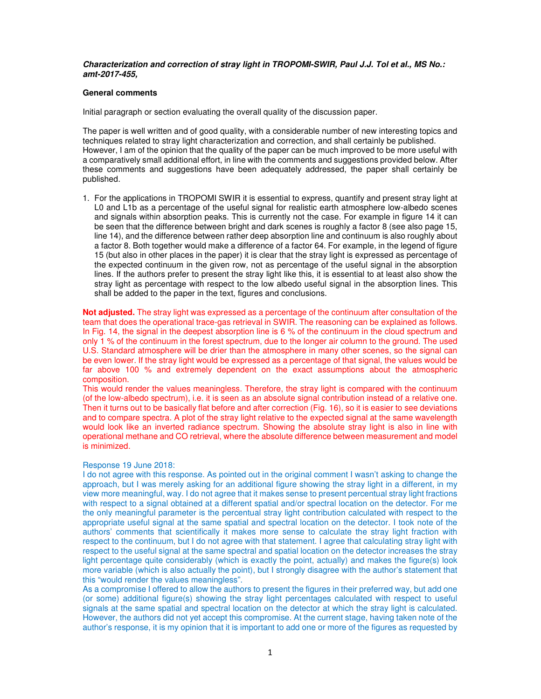## **Characterization and correction of stray light in TROPOMI-SWIR, Paul J.J. Tol et al., MS No.: amt-2017-455,**

### **General comments**

Initial paragraph or section evaluating the overall quality of the discussion paper.

The paper is well written and of good quality, with a considerable number of new interesting topics and techniques related to stray light characterization and correction, and shall certainly be published. However, I am of the opinion that the quality of the paper can be much improved to be more useful with a comparatively small additional effort, in line with the comments and suggestions provided below. After these comments and suggestions have been adequately addressed, the paper shall certainly be published.

1. For the applications in TROPOMI SWIR it is essential to express, quantify and present stray light at L0 and L1b as a percentage of the useful signal for realistic earth atmosphere low-albedo scenes and signals within absorption peaks. This is currently not the case. For example in figure 14 it can be seen that the difference between bright and dark scenes is roughly a factor 8 (see also page 15, line 14), and the difference between rather deep absorption line and continuum is also roughly about a factor 8. Both together would make a difference of a factor 64. For example, in the legend of figure 15 (but also in other places in the paper) it is clear that the stray light is expressed as percentage of the expected continuum in the given row, not as percentage of the useful signal in the absorption lines. If the authors prefer to present the stray light like this, it is essential to at least also show the stray light as percentage with respect to the low albedo useful signal in the absorption lines. This shall be added to the paper in the text, figures and conclusions.

**Not adjusted.** The stray light was expressed as a percentage of the continuum after consultation of the team that does the operational trace-gas retrieval in SWIR. The reasoning can be explained as follows. In Fig. 14, the signal in the deepest absorption line is 6 % of the continuum in the cloud spectrum and only 1 % of the continuum in the forest spectrum, due to the longer air column to the ground. The used U.S. Standard atmosphere will be drier than the atmosphere in many other scenes, so the signal can be even lower. If the stray light would be expressed as a percentage of that signal, the values would be far above 100 % and extremely dependent on the exact assumptions about the atmospheric composition.

This would render the values meaningless. Therefore, the stray light is compared with the continuum (of the low-albedo spectrum), i.e. it is seen as an absolute signal contribution instead of a relative one. Then it turns out to be basically flat before and after correction (Fig. 16), so it is easier to see deviations and to compare spectra. A plot of the stray light relative to the expected signal at the same wavelength would look like an inverted radiance spectrum. Showing the absolute stray light is also in line with operational methane and CO retrieval, where the absolute difference between measurement and model is minimized.

### Response 19 June 2018:

I do not agree with this response. As pointed out in the original comment I wasn't asking to change the approach, but I was merely asking for an additional figure showing the stray light in a different, in my view more meaningful, way. I do not agree that it makes sense to present percentual stray light fractions with respect to a signal obtained at a different spatial and/or spectral location on the detector. For me the only meaningful parameter is the percentual stray light contribution calculated with respect to the appropriate useful signal at the same spatial and spectral location on the detector. I took note of the authors' comments that scientifically it makes more sense to calculate the stray light fraction with respect to the continuum, but I do not agree with that statement. I agree that calculating stray light with respect to the useful signal at the same spectral and spatial location on the detector increases the stray light percentage quite considerably (which is exactly the point, actually) and makes the figure(s) look more variable (which is also actually the point), but I strongly disagree with the author's statement that this "would render the values meaningless".

As a compromise I offered to allow the authors to present the figures in their preferred way, but add one (or some) additional figure(s) showing the stray light percentages calculated with respect to useful signals at the same spatial and spectral location on the detector at which the stray light is calculated. However, the authors did not yet accept this compromise. At the current stage, having taken note of the author's response, it is my opinion that it is important to add one or more of the figures as requested by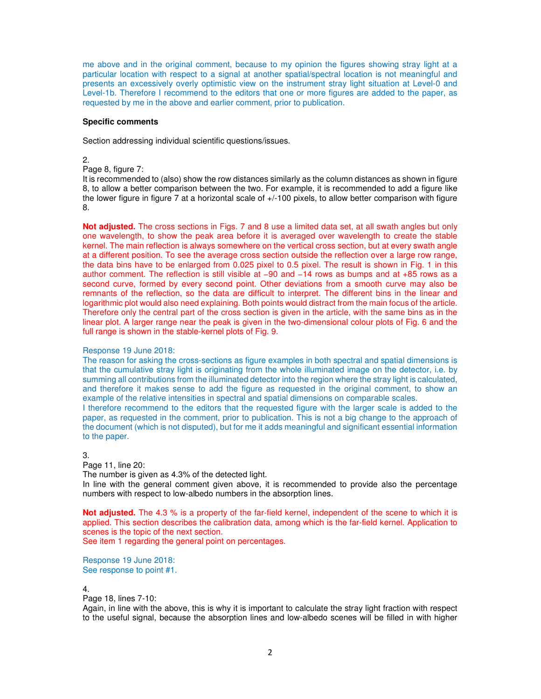me above and in the original comment, because to my opinion the figures showing stray light at a particular location with respect to a signal at another spatial/spectral location is not meaningful and presents an excessively overly optimistic view on the instrument stray light situation at Level-0 and Level-1b. Therefore I recommend to the editors that one or more figures are added to the paper, as requested by me in the above and earlier comment, prior to publication.

### **Specific comments**

Section addressing individual scientific questions/issues.

# 2.

# Page 8, figure 7:

It is recommended to (also) show the row distances similarly as the column distances as shown in figure 8, to allow a better comparison between the two. For example, it is recommended to add a figure like the lower figure in figure 7 at a horizontal scale of  $+/-100$  pixels, to allow better comparison with figure 8.

**Not adjusted.** The cross sections in Figs. 7 and 8 use a limited data set, at all swath angles but only one wavelength, to show the peak area before it is averaged over wavelength to create the stable kernel. The main reflection is always somewhere on the vertical cross section, but at every swath angle at a different position. To see the average cross section outside the reflection over a large row range, the data bins have to be enlarged from 0.025 pixel to 0.5 pixel. The result is shown in Fig. 1 in this author comment. The reflection is still visible at −90 and −14 rows as bumps and at +85 rows as a second curve, formed by every second point. Other deviations from a smooth curve may also be remnants of the reflection, so the data are difficult to interpret. The different bins in the linear and logarithmic plot would also need explaining. Both points would distract from the main focus of the article. Therefore only the central part of the cross section is given in the article, with the same bins as in the linear plot. A larger range near the peak is given in the two-dimensional colour plots of Fig. 6 and the full range is shown in the stable-kernel plots of Fig. 9.

# Response 19 June 2018:

The reason for asking the cross-sections as figure examples in both spectral and spatial dimensions is that the cumulative stray light is originating from the whole illuminated image on the detector, i.e. by summing all contributions from the illuminated detector into the region where the stray light is calculated, and therefore it makes sense to add the figure as requested in the original comment, to show an example of the relative intensities in spectral and spatial dimensions on comparable scales.

I therefore recommend to the editors that the requested figure with the larger scale is added to the paper, as requested in the comment, prior to publication. This is not a big change to the approach of the document (which is not disputed), but for me it adds meaningful and significant essential information to the paper.

3.

## Page 11, line 20:

The number is given as 4.3% of the detected light.

In line with the general comment given above, it is recommended to provide also the percentage numbers with respect to low-albedo numbers in the absorption lines.

**Not adjusted.** The 4.3 % is a property of the far-field kernel, independent of the scene to which it is applied. This section describes the calibration data, among which is the far-field kernel. Application to scenes is the topic of the next section.

See item 1 regarding the general point on percentages.

Response 19 June 2018: See response to point #1.

### 4.

## Page 18, lines 7-10:

Again, in line with the above, this is why it is important to calculate the stray light fraction with respect to the useful signal, because the absorption lines and low-albedo scenes will be filled in with higher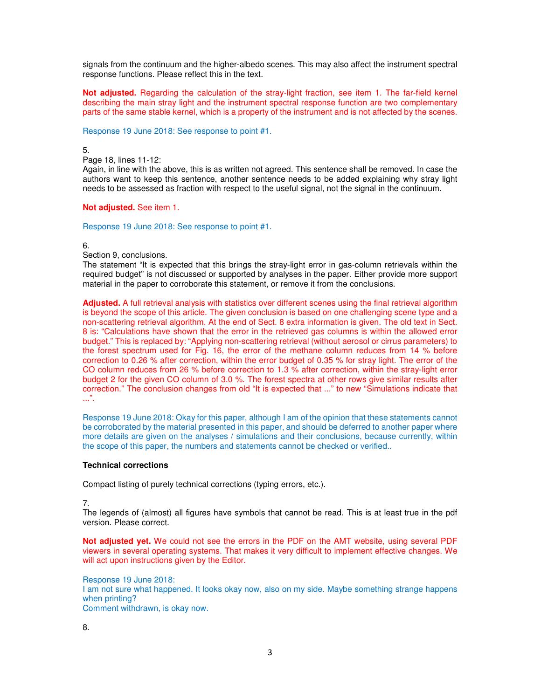signals from the continuum and the higher-albedo scenes. This may also affect the instrument spectral response functions. Please reflect this in the text.

**Not adjusted.** Regarding the calculation of the stray-light fraction, see item 1. The far-field kernel describing the main stray light and the instrument spectral response function are two complementary parts of the same stable kernel, which is a property of the instrument and is not affected by the scenes.

Response 19 June 2018: See response to point #1.

5.

Page 18, lines 11-12:

Again, in line with the above, this is as written not agreed. This sentence shall be removed. In case the authors want to keep this sentence, another sentence needs to be added explaining why stray light needs to be assessed as fraction with respect to the useful signal, not the signal in the continuum.

### **Not adjusted.** See item 1.

Response 19 June 2018: See response to point #1.

### 6.

Section 9, conclusions.

The statement "It is expected that this brings the stray-light error in gas-column retrievals within the required budget" is not discussed or supported by analyses in the paper. Either provide more support material in the paper to corroborate this statement, or remove it from the conclusions.

**Adjusted.** A full retrieval analysis with statistics over different scenes using the final retrieval algorithm is beyond the scope of this article. The given conclusion is based on one challenging scene type and a non-scattering retrieval algorithm. At the end of Sect. 8 extra information is given. The old text in Sect. 8 is: "Calculations have shown that the error in the retrieved gas columns is within the allowed error budget." This is replaced by: "Applying non-scattering retrieval (without aerosol or cirrus parameters) to the forest spectrum used for Fig. 16, the error of the methane column reduces from 14 % before correction to 0.26 % after correction, within the error budget of 0.35 % for stray light. The error of the CO column reduces from 26 % before correction to 1.3 % after correction, within the stray-light error budget 2 for the given CO column of 3.0 %. The forest spectra at other rows give similar results after correction." The conclusion changes from old "It is expected that ..." to new "Simulations indicate that ...".

Response 19 June 2018: Okay for this paper, although I am of the opinion that these statements cannot be corroborated by the material presented in this paper, and should be deferred to another paper where more details are given on the analyses / simulations and their conclusions, because currently, within the scope of this paper, the numbers and statements cannot be checked or verified..

# **Technical corrections**

Compact listing of purely technical corrections (typing errors, etc.).

7.

The legends of (almost) all figures have symbols that cannot be read. This is at least true in the pdf version. Please correct.

**Not adjusted yet.** We could not see the errors in the PDF on the AMT website, using several PDF viewers in several operating systems. That makes it very difficult to implement effective changes. We will act upon instructions given by the Editor.

Response 19 June 2018: I am not sure what happened. It looks okay now, also on my side. Maybe something strange happens when printing? Comment withdrawn, is okay now.